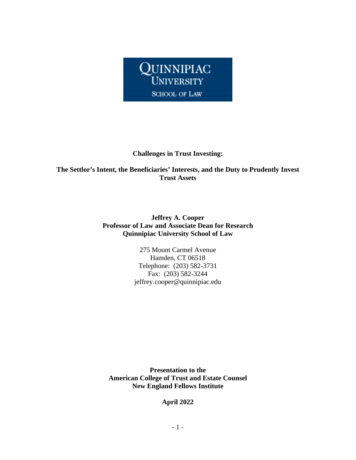

#### **Challenges in Trust Investing:**

**The Settlor's Intent, the Beneficiaries' Interests, and the Duty to Prudently Invest Trust Assets**

#### **Jeffrey A. Cooper Professor of Law and Associate Dean for Research Quinnipiac University School of Law**

275 Mount Carmel Avenue Hamden, CT 06518 Telephone: (203) 582-3731 Fax: (203) 582-3244 jeffrey.cooper@quinnipiac.edu

**Presentation to the American College of Trust and Estate Counsel New England Fellows Institute**

**April 2022**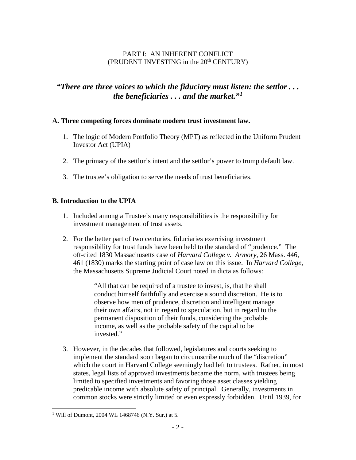### PART I: AN INHERENT CONFLICT (PRUDENT INVESTING in the  $20<sup>th</sup>$  CENTURY)

# *"There are three voices to which the fiduciary must listen: the settlor . . . the beneficiaries . . . and the market."[1](#page-1-0)*

#### **A. Three competing forces dominate modern trust investment law.**

- 1. The logic of Modern Portfolio Theory (MPT) as reflected in the Uniform Prudent Investor Act (UPIA)
- 2. The primacy of the settlor's intent and the settlor's power to trump default law.
- 3. The trustee's obligation to serve the needs of trust beneficiaries.

### **B. Introduction to the UPIA**

- 1. Included among a Trustee's many responsibilities is the responsibility for investment management of trust assets.
- 2. For the better part of two centuries, fiduciaries exercising investment responsibility for trust funds have been held to the standard of "prudence." The oft-cited 1830 Massachusetts case of *Harvard College v. Armory,* 26 Mass. 446, 461 (1830) marks the starting point of case law on this issue. In *Harvard College,*  the Massachusetts Supreme Judicial Court noted in dicta as follows:

"All that can be required of a trustee to invest, is, that he shall conduct himself faithfully and exercise a sound discretion. He is to observe how men of prudence, discretion and intelligent manage their own affairs, not in regard to speculation, but in regard to the permanent disposition of their funds, considering the probable income, as well as the probable safety of the capital to be invested."

3. However, in the decades that followed, legislatures and courts seeking to implement the standard soon began to circumscribe much of the "discretion" which the court in Harvard College seemingly had left to trustees. Rather, in most states, legal lists of approved investments became the norm, with trustees being limited to specified investments and favoring those asset classes yielding predicable income with absolute safety of principal. Generally, investments in common stocks were strictly limited or even expressly forbidden. Until 1939, for

<span id="page-1-0"></span><sup>&</sup>lt;sup>1</sup> Will of Dumont, 2004 WL 1468746 (N.Y. Sur.) at 5.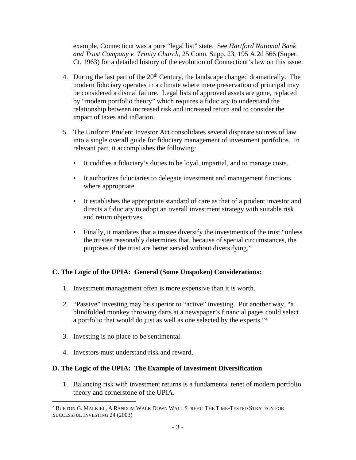example, Connecticut was a pure "legal list" state. See *Hartford National Bank and Trust Company v. Trinity Church,* 25 Conn. Supp. 23, 195 A.2d 566 (Super. Ct. 1963) for a detailed history of the evolution of Connecticut's law on this issue.

- 4. During the last part of the  $20<sup>th</sup>$  Century, the landscape changed dramatically. The modern fiduciary operates in a climate where mere preservation of principal may be considered a dismal failure. Legal lists of approved assets are gone, replaced by "modern portfolio theory" which requires a fiduciary to understand the relationship between increased risk and increased return and to consider the impact of taxes and inflation.
- 5. The Uniform Prudent Investor Act consolidates several disparate sources of law into a single overall guide for fiduciary management of investment portfolios. In relevant part, it accomplishes the following:
	- It codifies a fiduciary's duties to be loyal, impartial, and to manage costs.
	- It authorizes fiduciaries to delegate investment and management functions where appropriate.
	- It establishes the appropriate standard of care as that of a prudent investor and directs a fiduciary to adopt an overall investment strategy with suitable risk and return objectives.
	- Finally, it mandates that a trustee diversify the investments of the trust "unless the trustee reasonably determines that, because of special circumstances, the purposes of the trust are better served without diversifying."

### **C. The Logic of the UPIA: General (Some Unspoken) Considerations:**

- 1. Investment management often is more expensive than it is worth.
- 2. "Passive" investing may be superior to "active" investing. Put another way, "a blindfolded monkey throwing darts at a newspaper's financial pages could select a portfolio that would do just as well as one selected by the experts."<sup>[2](#page-2-0)</sup>
- 3. Investing is no place to be sentimental.
- 4. Investors must understand risk and reward.

### **D. The Logic of the UPIA: The Example of Investment Diversification**

1. Balancing risk with investment returns is a fundamental tenet of modern portfolio theory and cornerstone of the UPIA.

<span id="page-2-0"></span> $^2$  Burton G. Malkiel, A Random Walk Down Wall Street: The Time-Tested Strategy for SUCCESSFUL INVESTING 24 (2003)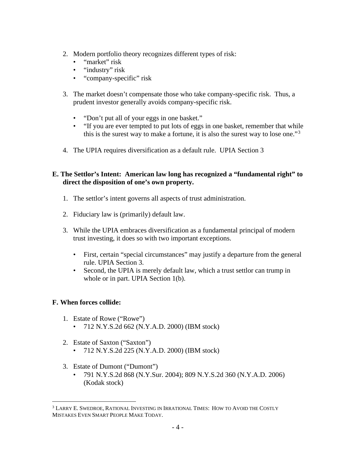- 2. Modern portfolio theory recognizes different types of risk:
	- "market" risk
	- "industry" risk
	- "company-specific" risk
- 3. The market doesn't compensate those who take company-specific risk. Thus, a prudent investor generally avoids company-specific risk.
	- "Don't put all of your eggs in one basket."
	- "If you are ever tempted to put lots of eggs in one basket, remember that while this is the surest way to make a fortune, it is also the surest way to lose one."[3](#page-3-0)
- 4. The UPIA requires diversification as a default rule. UPIA Section 3

### **E. The Settlor's Intent: American law long has recognized a "fundamental right" to direct the disposition of one's own property.**

- 1. The settlor's intent governs all aspects of trust administration.
- 2. Fiduciary law is (primarily) default law.
- 3. While the UPIA embraces diversification as a fundamental principal of modern trust investing, it does so with two important exceptions.
	- First, certain "special circumstances" may justify a departure from the general rule. UPIA Section 3.
	- Second, the UPIA is merely default law, which a trust settlor can trump in whole or in part. UPIA Section 1(b).

### **F. When forces collide:**

- 1. Estate of Rowe ("Rowe")
	- 712 N.Y.S.2d 662 (N.Y.A.D. 2000) (IBM stock)
- 2. Estate of Saxton ("Saxton")
	- 712 N.Y.S.2d 225 (N.Y.A.D. 2000) (IBM stock)
- 3. Estate of Dumont ("Dumont")
	- 791 N.Y.S.2d 868 (N.Y.Sur. 2004); 809 N.Y.S.2d 360 (N.Y.A.D. 2006) (Kodak stock)

<span id="page-3-0"></span><sup>3</sup> LARRY E. SWEDROE, RATIONAL INVESTING IN IRRATIONAL TIMES: HOW TO AVOID THE COSTLY MISTAKES EVEN SMART PEOPLE MAKE TODAY.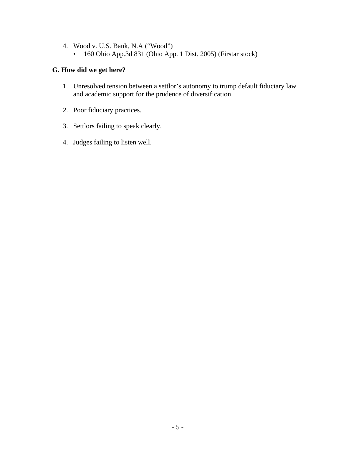- 4. Wood v. U.S. Bank, N.A ("Wood")
	- 160 Ohio App.3d 831 (Ohio App. 1 Dist. 2005) (Firstar stock)

### **G. How did we get here?**

- 1. Unresolved tension between a settlor's autonomy to trump default fiduciary law and academic support for the prudence of diversification.
- 2. Poor fiduciary practices.
- 3. Settlors failing to speak clearly.
- 4. Judges failing to listen well.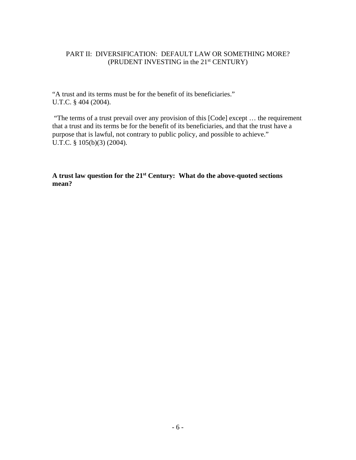### PART II: DIVERSIFICATION: DEFAULT LAW OR SOMETHING MORE? (PRUDENT INVESTING in the 21<sup>st</sup> CENTURY)

"A trust and its terms must be for the benefit of its beneficiaries." U.T.C. § 404 (2004).

"The terms of a trust prevail over any provision of this [Code] except … the requirement that a trust and its terms be for the benefit of its beneficiaries, and that the trust have a purpose that is lawful, not contrary to public policy, and possible to achieve." U.T.C. § 105(b)(3) (2004).

**A trust law question for the 21st Century: What do the above-quoted sections mean?**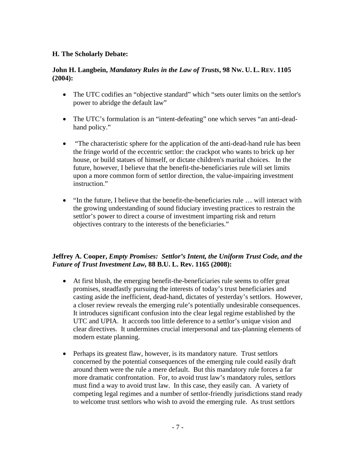### **H. The Scholarly Debate:**

#### **John H. Langbein,** *Mandatory Rules in the Law of Trusts***, 98 NW. U. L. REV. 1105 (2004):**

- The UTC codifies an "objective standard" which "sets outer limits on the settlor's power to abridge the default law"
- The UTC's formulation is an "intent-defeating" one which serves "an anti-deadhand policy."
- "The characteristic sphere for the application of the anti-dead-hand rule has been the fringe world of the eccentric settlor: the crackpot who wants to brick up her house, or build statues of himself, or dictate children's marital choices. In the future, however, I believe that the benefit-the-beneficiaries rule will set limits upon a more common form of settlor direction, the value-impairing investment instruction."
- "In the future, I believe that the benefit-the-beneficiaries rule ... will interact with the growing understanding of sound fiduciary investing practices to restrain the settlor's power to direct a course of investment imparting risk and return objectives contrary to the interests of the beneficiaries."

### **Jeffrey A. Cooper,** *Empty Promises: Settlor's Intent, the Uniform Trust Code, and the Future of Trust Investment Law,* **88 B.U. L. Rev. 1165 (2008):**

- At first blush, the emerging benefit-the-beneficiaries rule seems to offer great promises, steadfastly pursuing the interests of today's trust beneficiaries and casting aside the inefficient, dead-hand, dictates of yesterday's settlors. However, a closer review reveals the emerging rule's potentially undesirable consequences. It introduces significant confusion into the clear legal regime established by the UTC and UPIA. It accords too little deference to a settlor's unique vision and clear directives. It undermines crucial interpersonal and tax-planning elements of modern estate planning.
- Perhaps its greatest flaw, however, is its mandatory nature. Trust settlors concerned by the potential consequences of the emerging rule could easily draft around them were the rule a mere default. But this mandatory rule forces a far more dramatic confrontation. For, to avoid trust law's mandatory rules, settlors must find a way to avoid trust law. In this case, they easily can. A variety of competing legal regimes and a number of settlor-friendly jurisdictions stand ready to welcome trust settlors who wish to avoid the emerging rule. As trust settlors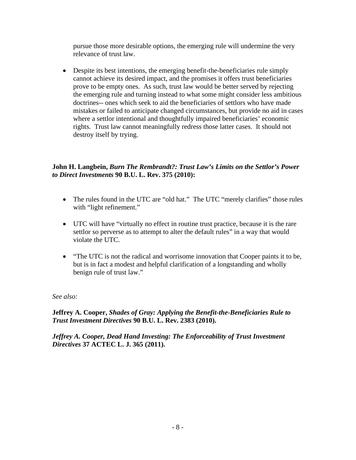pursue those more desirable options, the emerging rule will undermine the very relevance of trust law.

• Despite its best intentions, the emerging benefit-the-beneficiaries rule simply cannot achieve its desired impact, and the promises it offers trust beneficiaries prove to be empty ones. As such, trust law would be better served by rejecting the emerging rule and turning instead to what some might consider less ambitious doctrines-- ones which seek to aid the beneficiaries of settlors who have made mistakes or failed to anticipate changed circumstances, but provide no aid in cases where a settlor intentional and thoughtfully impaired beneficiaries' economic rights. Trust law cannot meaningfully redress those latter cases. It should not destroy itself by trying.

### **John H. Langbein,** *Burn The Rembrandt?: Trust Law's Limits on the Settlor's Power to Direct Investments* **90 B.U. L. Rev. 375 (2010):**

- The rules found in the UTC are "old hat." The UTC "merely clarifies" those rules with "light refinement."
- UTC will have "virtually no effect in routine trust practice, because it is the rare settlor so perverse as to attempt to alter the default rules" in a way that would violate the UTC.
- "The UTC is not the radical and worrisome innovation that Cooper paints it to be, but is in fact a modest and helpful clarification of a longstanding and wholly benign rule of trust law."

### *See also:*

**Jeffrey A. Cooper,** *Shades of Gray: Applying the Benefit-the-Beneficiaries Rule to Trust Investment Directives* **90 B.U. L. Rev. 2383 (2010).**

*Jeffrey A. Cooper, Dead Hand Investing: The Enforceability of Trust Investment Directives* **37 ACTEC L. J. 365 (2011).**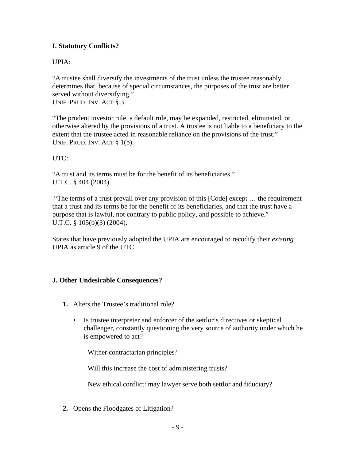# **I. Statutory Conflicts?**

# UPIA:

"A trustee shall diversify the investments of the trust unless the trustee reasonably determines that, because of special circumstances, the purposes of the trust are better served without diversifying." UNIF. PRUD. INV. ACT § 3.

"The prudent investor rule, a default rule, may be expanded, restricted, eliminated, or otherwise altered by the provisions of a trust. A trustee is not liable to a beneficiary to the extent that the trustee acted in reasonable reliance on the provisions of the trust." UNIF. PRUD. INV. ACT § 1(b).

# UTC:

"A trust and its terms must be for the benefit of its beneficiaries." U.T.C. § 404 (2004).

"The terms of a trust prevail over any provision of this [Code] except … the requirement that a trust and its terms be for the benefit of its beneficiaries, and that the trust have a purpose that is lawful, not contrary to public policy, and possible to achieve." U.T.C. § 105(b)(3) (2004).

States that have previously adopted the UPIA are encouraged to recodify their *existing* UPIA as article 9 of the UTC.

### **J. Other Undesirable Consequences?**

- **1.** Alters the Trustee's traditional role?
	- Is trustee interpreter and enforcer of the settlor's directives or skeptical challenger, constantly questioning the very source of authority under which he is empowered to act?

Wither contractarian principles?

Will this increase the cost of administering trusts?

New ethical conflict: may lawyer serve both settlor and fiduciary?

**2.** Opens the Floodgates of Litigation?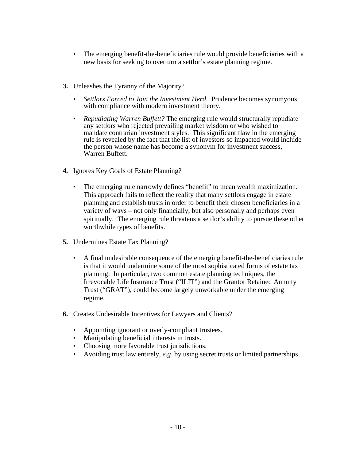- The emerging benefit-the-beneficiaries rule would provide beneficiaries with a new basis for seeking to overturn a settlor's estate planning regime.
- **3.** Unleashes the Tyranny of the Majority?
	- *Settlors Forced to Join the Investment Herd*. Prudence becomes synomyous with compliance with modern investment theory.
	- *Repudiating Warren Buffett?* The emerging rule would structurally repudiate any settlors who rejected prevailing market wisdom or who wished to mandate contrarian investment styles. This significant flaw in the emerging rule is revealed by the fact that the list of investors so impacted would include the person whose name has become a synonym for investment success, Warren Buffett.
- **4.** Ignores Key Goals of Estate Planning?
	- The emerging rule narrowly defines "benefit" to mean wealth maximization. This approach fails to reflect the reality that many settlors engage in estate planning and establish trusts in order to benefit their chosen beneficiaries in a variety of ways – not only financially, but also personally and perhaps even spiritually. The emerging rule threatens a settlor's ability to pursue these other worthwhile types of benefits.
- **5.** Undermines Estate Tax Planning?
	- A final undesirable consequence of the emerging benefit-the-beneficiaries rule is that it would undermine some of the most sophisticated forms of estate tax planning. In particular, two common estate planning techniques, the Irrevocable Life Insurance Trust ("ILIT") and the Grantor Retained Annuity Trust ("GRAT"), could become largely unworkable under the emerging regime.
- **6.** Creates Undesirable Incentives for Lawyers and Clients?
	- Appointing ignorant or overly-compliant trustees.
	- Manipulating beneficial interests in trusts.
	- Choosing more favorable trust jurisdictions.
	- Avoiding trust law entirely, *e.g*. by using secret trusts or limited partnerships.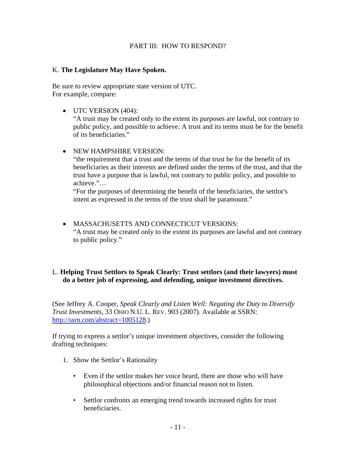#### PART III: HOW TO RESPOND?

#### K. **The Legislature May Have Spoken.**

Be sure to review appropriate state version of UTC. For example, compare:

• UTC VERSION (404):

"A trust may be created only to the extent its purposes are lawful, not contrary to public policy, and possible to achieve. A trust and its terms must be for the benefit of its beneficiaries."

• NEW HAMPSHIRE VERSION:

"the requirement that a trust and the terms of that trust be for the benefit of its beneficiaries as their interests are defined under the terms of the trust, and that the trust have a purpose that is lawful, not contrary to public policy, and possible to achieve."…

"For the purposes of determining the benefit of the beneficiaries, the settlor's intent as expressed in the terms of the trust shall be paramount."

• MASSACHUSETTS AND CONNECTICUT VERSIONS: "A trust may be created only to the extent its purposes are lawful and not contrary to public policy."

### L. **Helping Trust Settlors to Speak Clearly: Trust settlors (and their lawyers) must do a better job of expressing, and defending, unique investment directives.**

(See Jeffrey A. Cooper, *Speak Clearly and Listen Well: Negating the Duty to Diversify Trust Investments*, 33 OHIO N.U. L. REV. 903 (2007). Available at SSRN: [http://ssrn.com/abstract=1005128.](http://ssrn.com/abstract=1005128))

If trying to express a settlor's unique investment objectives, consider the following drafting techniques:

- 1. Show the Settlor's Rationality
	- Even if the settlor makes her voice heard, there are those who will have philosophical objections and/or financial reason not to listen.
	- Settlor confronts an emerging trend towards increased rights for trust beneficiaries.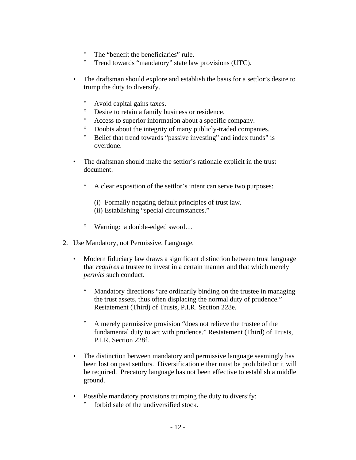- ° The "benefit the beneficiaries" rule.
- ° Trend towards "mandatory" state law provisions (UTC).
- The draftsman should explore and establish the basis for a settlor's desire to trump the duty to diversify.
	- ° Avoid capital gains taxes.
	- Desire to retain a family business or residence.
	- Access to superior information about a specific company.
	- ° Doubts about the integrity of many publicly-traded companies.
	- ° Belief that trend towards "passive investing" and index funds" is overdone.
- The draftsman should make the settlor's rationale explicit in the trust document.
	- ° A clear exposition of the settlor's intent can serve two purposes:
		- (i) Formally negating default principles of trust law.
		- (ii) Establishing "special circumstances."
	- ° Warning: a double-edged sword…
- 2. Use Mandatory, not Permissive, Language.
	- Modern fiduciary law draws a significant distinction between trust language that *requires* a trustee to invest in a certain manner and that which merely *permits* such conduct.
		- Mandatory directions "are ordinarily binding on the trustee in managing the trust assets, thus often displacing the normal duty of prudence." Restatement (Third) of Trusts, P.I.R. Section 228e.
		- ° A merely permissive provision "does not relieve the trustee of the fundamental duty to act with prudence." Restatement (Third) of Trusts, P.I.R. Section 228f.
	- The distinction between mandatory and permissive language seemingly has been lost on past settlors. Diversification either must be prohibited or it will be required. Precatory language has not been effective to establish a middle ground.
	- Possible mandatory provisions trumping the duty to diversify:
		- forbid sale of the undiversified stock.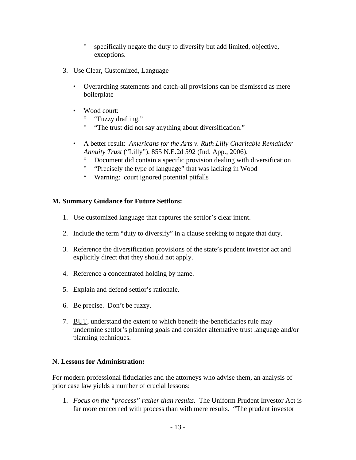- ° specifically negate the duty to diversify but add limited, objective, exceptions.
- 3. Use Clear, Customized, Language
	- Overarching statements and catch-all provisions can be dismissed as mere boilerplate
	- Wood court:
		- ° "Fuzzy drafting."
		- ° "The trust did not say anything about diversification."
	- A better result: *Americans for the Arts v. Ruth Lilly Charitable Remainder Annuity Trust* ("Lilly"). 855 N.E.2d 592 (Ind. App., 2006).
		- ° Document did contain a specific provision dealing with diversification
		- ° "Precisely the type of language" that was lacking in Wood
		- ° Warning: court ignored potential pitfalls

# **M. Summary Guidance for Future Settlors:**

- 1. Use customized language that captures the settlor's clear intent.
- 2. Include the term "duty to diversify" in a clause seeking to negate that duty.
- 3. Reference the diversification provisions of the state's prudent investor act and explicitly direct that they should not apply.
- 4. Reference a concentrated holding by name.
- 5. Explain and defend settlor's rationale.
- 6. Be precise. Don't be fuzzy.
- 7. BUT, understand the extent to which benefit-the-beneficiaries rule may undermine settlor's planning goals and consider alternative trust language and/or planning techniques.

# **N. Lessons for Administration:**

For modern professional fiduciaries and the attorneys who advise them, an analysis of prior case law yields a number of crucial lessons:

1. *Focus on the "process" rather than results*. The Uniform Prudent Investor Act is far more concerned with process than with mere results. "The prudent investor